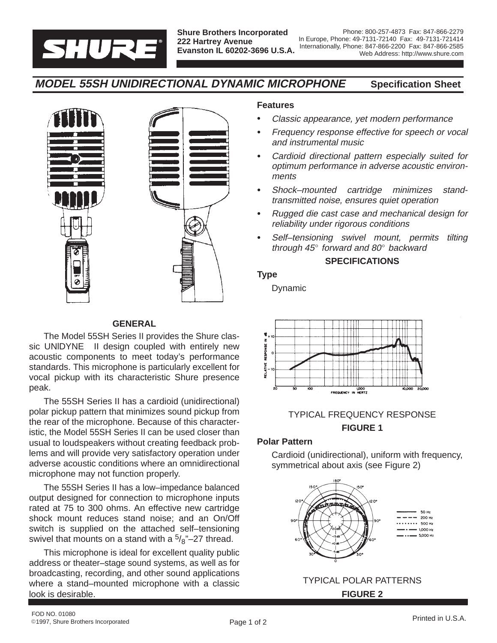

# **MODEL 55SH UNIDIRECTIONAL DYNAMIC MICROPHONE Specification Sheet**



# **GENERAL**

The Model 55SH Series II provides the Shure classic UNIDYNE<sup>®</sup> II design coupled with entirely new acoustic components to meet today's performance standards. This microphone is particularly excellent for vocal pickup with its characteristic Shure presence peak.

The 55SH Series II has a cardioid (unidirectional) polar pickup pattern that minimizes sound pickup from the rear of the microphone. Because of this characteristic, the Model 55SH Series II can be used closer than usual to loudspeakers without creating feedback problems and will provide very satisfactory operation under adverse acoustic conditions where an omnidirectional microphone may not function properly.

The 55SH Series II has a low–impedance balanced output designed for connection to microphone inputs rated at 75 to 300 ohms. An effective new cartridge shock mount reduces stand noise; and an On/Off switch is supplied on the attached self–tensioning swivel that mounts on a stand with a  $\frac{5}{8}$ "-27 thread.

This microphone is ideal for excellent quality public address or theater–stage sound systems, as well as for broadcasting, recording, and other sound applications where a stand–mounted microphone with a classic look is desirable.

## **Features**

- -Classic appearance, yet modern performance
- - Frequency response effective for speech or vocal and instrumental music
- - Cardioid directional pattern especially suited for optimum performance in adverse acoustic environments
- - Shock–mounted cartridge minimizes standtransmitted noise, ensures quiet operation
- - Rugged die cast case and mechanical design for reliability under rigorous conditions
- - Self–tensioning swivel mount, permits tilting through  $45^\circ$  forward and  $80^\circ$  backward

#### **SPECIFICATIONS**

#### **Type**

Dynamic



# TYPICAL FREQUENCY RESPONSE **FIGURE 1**

## **Polar Pattern**

Cardioid (unidirectional), uniform with frequency, symmetrical about axis (see Figure 2)



# TYPICAL POLAR PATTERNS **FIGURE 2**